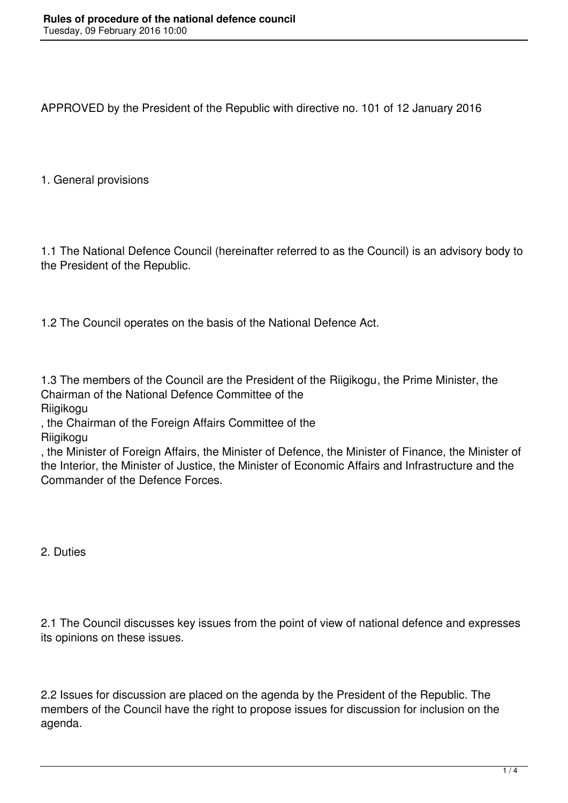APPROVED by the President of the Republic with directive no. 101 of 12 January 2016

1. General provisions

1.1 The National Defence Council (hereinafter referred to as the Council) is an advisory body to the President of the Republic.

1.2 The Council operates on the basis of the National Defence Act.

1.3 The members of the Council are the President of the Riigikogu, the Prime Minister, the Chairman of the National Defence Committee of the Riigikogu

, the Chairman of the Foreign Affairs Committee of the

Riigikogu

, the Minister of Foreign Affairs, the Minister of Defence, the Minister of Finance, the Minister of the Interior, the Minister of Justice, the Minister of Economic Affairs and Infrastructure and the Commander of the Defence Forces.

2. Duties

2.1 The Council discusses key issues from the point of view of national defence and expresses its opinions on these issues.

2.2 Issues for discussion are placed on the agenda by the President of the Republic. The members of the Council have the right to propose issues for discussion for inclusion on the agenda.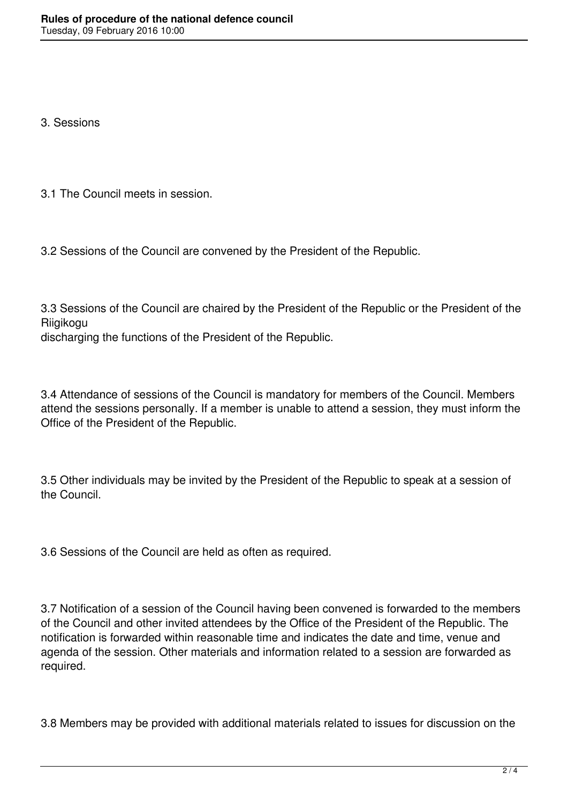3. Sessions

3.1 The Council meets in session.

3.2 Sessions of the Council are convened by the President of the Republic.

3.3 Sessions of the Council are chaired by the President of the Republic or the President of the Riigikogu

discharging the functions of the President of the Republic.

3.4 Attendance of sessions of the Council is mandatory for members of the Council. Members attend the sessions personally. If a member is unable to attend a session, they must inform the Office of the President of the Republic.

3.5 Other individuals may be invited by the President of the Republic to speak at a session of the Council.

3.6 Sessions of the Council are held as often as required.

3.7 Notification of a session of the Council having been convened is forwarded to the members of the Council and other invited attendees by the Office of the President of the Republic. The notification is forwarded within reasonable time and indicates the date and time, venue and agenda of the session. Other materials and information related to a session are forwarded as required.

3.8 Members may be provided with additional materials related to issues for discussion on the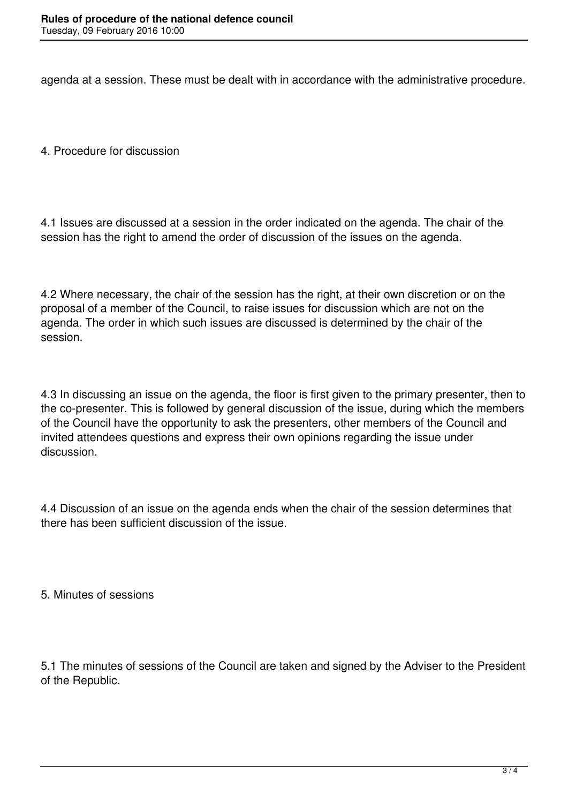agenda at a session. These must be dealt with in accordance with the administrative procedure.

4. Procedure for discussion

4.1 Issues are discussed at a session in the order indicated on the agenda. The chair of the session has the right to amend the order of discussion of the issues on the agenda.

4.2 Where necessary, the chair of the session has the right, at their own discretion or on the proposal of a member of the Council, to raise issues for discussion which are not on the agenda. The order in which such issues are discussed is determined by the chair of the session.

4.3 In discussing an issue on the agenda, the floor is first given to the primary presenter, then to the co-presenter. This is followed by general discussion of the issue, during which the members of the Council have the opportunity to ask the presenters, other members of the Council and invited attendees questions and express their own opinions regarding the issue under discussion.

4.4 Discussion of an issue on the agenda ends when the chair of the session determines that there has been sufficient discussion of the issue.

5. Minutes of sessions

5.1 The minutes of sessions of the Council are taken and signed by the Adviser to the President of the Republic.